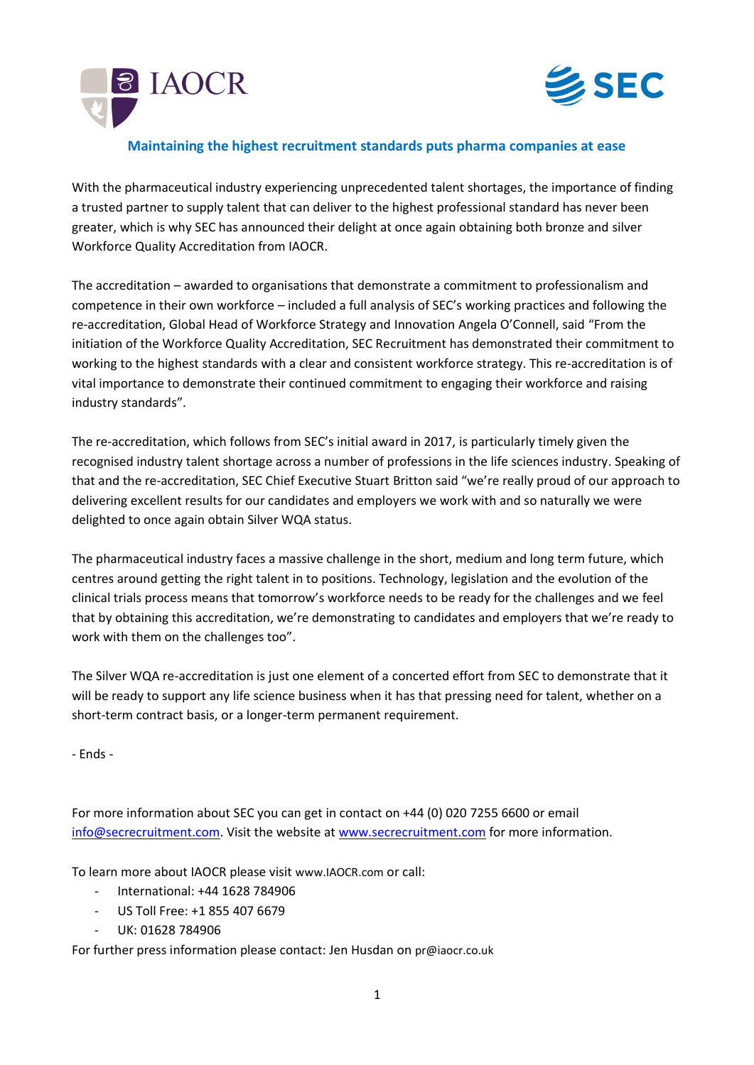



# **Maintaining the highest recruitment standards puts pharma companies at ease**

With the pharmaceutical industry experiencing unprecedented talent shortages, the importance of finding a trusted partner to supply talent that can deliver to the highest professional standard has never been greater, which is why SEC has announced their delight at once again obtaining both bronze and silver Workforce Quality Accreditation from IAOCR.

The accreditation – awarded to organisations that demonstrate a commitment to professionalism and competence in their own workforce – included a full analysis of SEC's working practices and following the re-accreditation, Global Head of Workforce Strategy and Innovation Angela O'Connell, said "From the initiation of the Workforce Quality Accreditation, SEC Recruitment has demonstrated their commitment to working to the highest standards with a clear and consistent workforce strategy. This re-accreditation is of vital importance to demonstrate their continued commitment to engaging their workforce and raising industry standards".

The re-accreditation, which follows from SEC's initial award in 2017, is particularly timely given the recognised industry talent shortage across a number of professions in the life sciences industry. Speaking of that and the re-accreditation, SEC Chief Executive Stuart Britton said "we're really proud of our approach to delivering excellent results for our candidates and employers we work with and so naturally we were delighted to once again obtain Silver WQA status.

The pharmaceutical industry faces a massive challenge in the short, medium and long term future, which centres around getting the right talent in to positions. Technology, legislation and the evolution of the clinical trials process means that tomorrow's workforce needs to be ready for the challenges and we feel that by obtaining this accreditation, we're demonstrating to candidates and employers that we're ready to work with them on the challenges too".

The Silver WQA re-accreditation is just one element of a concerted effort from SEC to demonstrate that it will be ready to support any life science business when it has that pressing need for talent, whether on a short-term contract basis, or a longer-term permanent requirement.

- Ends -

For more information about SEC you can get in contact on +44 (0) 020 7255 6600 or email [info@secrecruitment.com.](mailto:info@secrecruitment.com) Visit the website at [www.secrecruitment.com](http://www.secrecruitment.com/) for more information.

To learn more about IAOCR please visit [www.IAOCR.com](http://www.iaocr.com/) or call:

- International: +44 1628 784906
- US Toll Free: +1 855 407 6679
- UK: 01628 784906

For further press information please contact: Jen Husdan on [pr@iaocr.co.uk](mailto:pr@iaocr.co.uk)